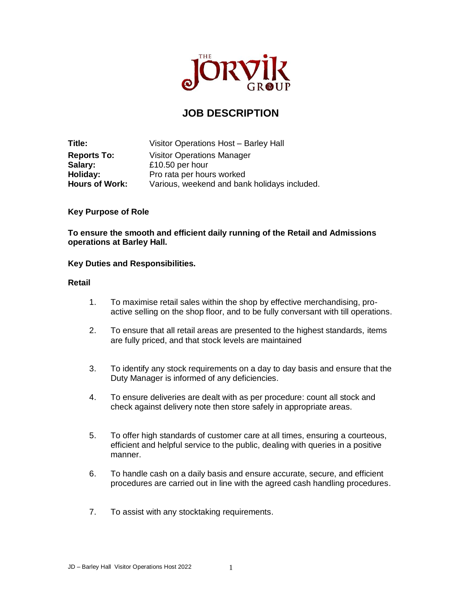

# **JOB DESCRIPTION**

**Title:** Visitor Operations Host – Barley Hall **Reports To:** Visitor Operations Manager **Salary:** £10.50 per hour **Holiday:** Pro rata per hours worked<br> **Hours of Work:** Various, weekend and ban Various, weekend and bank holidays included.

## **Key Purpose of Role**

**To ensure the smooth and efficient daily running of the Retail and Admissions operations at Barley Hall.**

## **Key Duties and Responsibilities.**

#### **Retail**

- 1. To maximise retail sales within the shop by effective merchandising, proactive selling on the shop floor, and to be fully conversant with till operations.
- 2. To ensure that all retail areas are presented to the highest standards, items are fully priced, and that stock levels are maintained
- 3. To identify any stock requirements on a day to day basis and ensure that the Duty Manager is informed of any deficiencies.
- 4. To ensure deliveries are dealt with as per procedure: count all stock and check against delivery note then store safely in appropriate areas.
- 5. To offer high standards of customer care at all times, ensuring a courteous, efficient and helpful service to the public, dealing with queries in a positive manner.
- 6. To handle cash on a daily basis and ensure accurate, secure, and efficient procedures are carried out in line with the agreed cash handling procedures.
- 7. To assist with any stocktaking requirements.